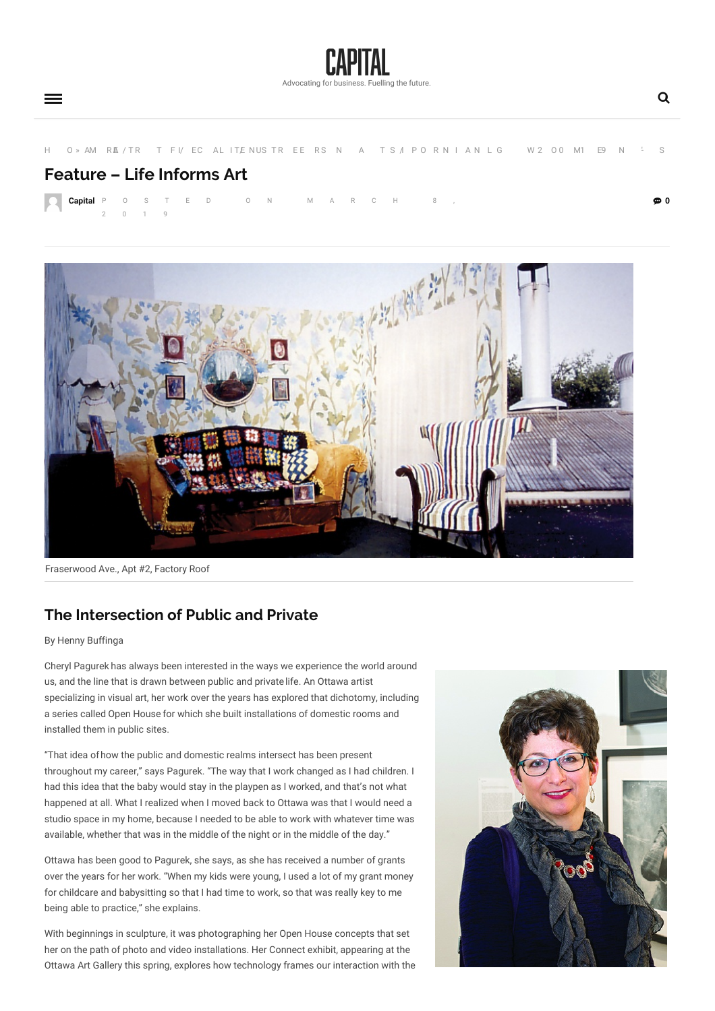

**0**

[H](https://capitalmag.ca) O » [AM](https://capitalmag.ca/category/art/) R[AE](https://capitalmag.ca/category/articles/) / TR T F I/ [EC](https://capitalmag.ca/category/features/) AL ITE[NUS](https://capitalmag.ca/category/international-womens-day/) TR EE RS N A T S I P O R N I AN L G [W](https://capitalmag.ca/category/spring-2019-gender-diversity-issue/) 2 O 0 [M1](https://capitalmag.ca/category/departments/) E9 N  $\pm$  S

## **Feature – Life Informs Art**

**[Capital](https://capitalmag.ca/author/admin/)** P O S T E D 0 2 0 1 9



Fraserwood Ave., Apt #2, Factory Roof

## **The [Intersection](javascript:;) of Public and Private**

By Henny Buffinga

Cheryl Pagurek has always been interested in the ways we experience the world around us, and the line that is drawn between public and private life. An Ottawa artist specializing in visual art, her work over the years has explored that dichotomy, including a series called Open House for which she built installations of domestic rooms and installed them in public sites.

"That idea ofhow the public and domestic realms intersect has been present throughout my career," says Pagurek. "The way that I work changed as I had children. I had this idea that the baby would stay in the playpen as I worked, and that's not what happened at all. What I realized when I moved back to Ottawa was that I would need a studio space in my home, because I needed to be able to work with whatever time was available, whether that was in the middle of the night or in the middle of the day."

Ottawa has been good to Pagurek, she says, as she has received a number of grants over the years for her work. "When my kids were young, I used a lot of my grant money for childcare and babysitting so that I had time to work, so that was really key to me being able to practice," she explains.

With beginnings in sculpture, it was photographing her Open House concepts that set her on the path of photo and video installations. Her Connect exhibit, appearing at the Ottawa Art Gallery this spring, explores how technology frames our interaction with the